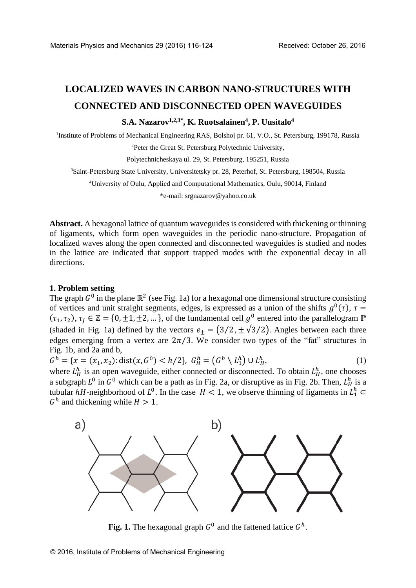# **LOCALIZED WAVES IN CARBON NANO-STRUCTURES WITH CONNECTED AND DISCONNECTED OPEN WAVEGUIDES**

## **S.A. Nazarov1,2,3\* , K. Ruotsalainen<sup>4</sup> , P. Uusitalo<sup>4</sup>**

<sup>1</sup>Institute of Problems of Mechanical Engineering RAS, Bolshoj pr. 61, V.O., St. Petersburg, 199178, Russia <sup>2</sup>Peter the Great St. Petersburg Polytechnic University,

Polytechnicheskaya ul. 29, St. Petersburg, 195251, Russia

<sup>3</sup>Saint-Petersburg State University, Universitetsky pr. 28, Peterhof, St. Petersburg, 198504, Russia

<sup>4</sup>University of Oulu, Applied and Computational Mathematics, Oulu, 90014, Finland

\*e-mail[: srgnazarov@yahoo.co.uk](mailto:srgnazarov@yahoo.co.uk) 

**Abstract.** A hexagonal lattice of quantum waveguides is considered with thickening or thinning of ligaments, which form open waveguides in the periodic nano-structure. Propagation of localized waves along the open connected and disconnected waveguides is studied and nodes in the lattice are indicated that support trapped modes with the exponential decay in all directions.

## **1. Problem setting**

The graph  $G^0$  in the plane  $\mathbb{R}^2$  (see Fig. 1a) for a hexagonal one dimensional structure consisting of vertices and unit straight segments, edges, is expressed as a union of the shifts  $g^0(\tau)$ ,  $\tau =$  $(\tau_1, \tau_2), \tau_j \in \mathbb{Z} = \{0, \pm 1, \pm 2, \dots\}$ , of the fundamental cell  $g^0$  entered into the parallelogram  $\mathbb{P}$ (shaded in Fig. 1a) defined by the vectors  $e_{\pm} = (3/2, \pm \sqrt{3}/2)$ . Angles between each three edges emerging from a vertex are  $2\pi/3$ . We consider two types of the "fat" structures in Fig. 1b, and 2a and b,

 $G^h = \{x = (x_1, x_2) : \text{dist}(x, G^0) < h/2\}, \ G_H^h = \left(G^h \setminus L_1^h\right) \cup L_H^h$  $,$  (1)

where  $L_H^h$  is an open waveguide, either connected or disconnected. To obtain  $L_H^h$ , one chooses a subgraph  $L^0$  in  $G^0$  which can be a path as in Fig. 2a, or disruptive as in Fig. 2b. Then,  $L_H^h$  is a tubular hH-neighborhood of  $L^0$ . In the case  $H < 1$ , we observe thinning of ligaments in  $L_1^h \subset$  $G<sup>h</sup>$  and thickening while  $H > 1$ .



Fig. 1. The hexagonal graph  $G^0$  and the fattened lattice  $G^h$ .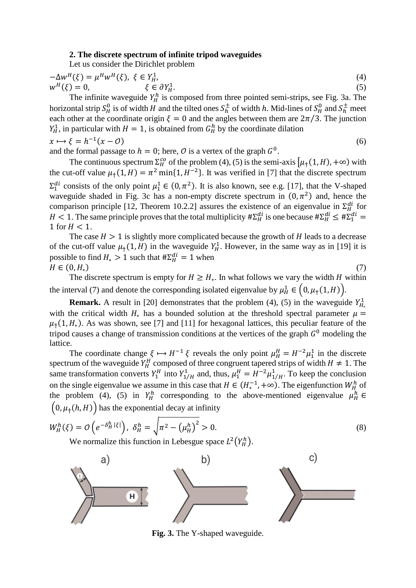### **2. The discrete spectrum of infinite tripod waveguides**

Let us consider the Dirichlet problem

$$
-\Delta w^{H}(\xi) = \mu^{H} w^{H}(\xi), \ \xi \in Y_{H}^{1},
$$
  
\n
$$
w^{H}(\xi) = 0, \qquad \xi \in \partial Y_{H}^{1}.
$$
\n(4)

The infinite waveguide  $Y_H^h$  is composed from three pointed semi-strips, see Fig. 3a. The horizontal strip  $S_H^0$  is of width  $H$  and the tilted ones  $S_h^{\pm}$  of width  $h$ . Mid-lines of  $S_H^0$  and  $S_h^{\pm}$  meet each other at the coordinate origin  $\xi = 0$  and the angles between them are  $2\pi/3$ . The junction  $Y_H^1$ , in particular with  $H = 1$ , is obtained from  $G_H^h$  by the coordinate dilation

$$
x \mapsto \xi = h^{-1}(x - \mathcal{O}) \tag{6}
$$

and the formal passage to  $h = 0$ ; here,  $\mathcal O$  is a vertex of the graph  $G^0$ .

The continuous spectrum  $\Sigma_H^{co}$  of the problem (4), (5) is the semi-axis  $[\mu_{\uparrow}(1, H), +\infty)$  with the cut-off value  $\mu_{\uparrow}(1, H) = \pi^2 \min\{1, H^{-2}\}\$ . It was verified in [7] that the discrete spectrum  $\Sigma_1^{di}$  consists of the only point  $\mu_1^1 \in (0, \pi^2)$ . It is also known, see e.g. [17], that the V-shaped waveguide shaded in Fig. 3c has a non-empty discrete spectrum in  $(0, \pi^2)$  and, hence the comparison principle [12, Theorem 10.2.2] assures the existence of an eigenvalue in  $\Sigma_H^{di}$  for H < 1. The same principle proves that the total multiplicity  $\#\Sigma_H^{di}$  is one because  $\#\Sigma_H^{di} \leq \#\Sigma_1^{di} =$ 1 for  $H < 1$ .

The case  $H > 1$  is slightly more complicated because the growth of H leads to a decrease of the cut-off value  $\mu_{\uparrow}(1, H)$  in the waveguide  $Y_H^1$ . However, in the same way as in [19] it is possible to find  $H_* > 1$  such that  $\#\Sigma_H^{di} = 1$  when  $H \in (0, H_*)$ )  $(7)$ 

The discrete spectrum is empty for  $H \ge H_*$ . In what follows we vary the width H within the interval (7) and denote the corresponding isolated eigenvalue by  $\mu_H^1 \in (0, \mu_I(1, H)).$ 

**Remark.** A result in [20] demonstrates that the problem (4), (5) in the waveguide  $Y_{H_*}^1$ with the critical width  $H_*$  has a bounded solution at the threshold spectral parameter  $\mu =$  $\mu_{\uparrow}(1, H_{*})$ . As was shown, see [7] and [11] for hexagonal lattices, this peculiar feature of the tripod causes a change of transmission conditions at the vertices of the graph  $G^0$  modeling the lattice.

The coordinate change  $\xi \mapsto H^{-1} \xi$  reveals the only point  $\mu_H^H = H^{-2} \mu_1^1$  in the discrete spectrum of the waveguide  $Y_H^H$  composed of three congruent tapered strips of width  $H \neq 1$ . The same transformation converts  $Y_1^H$  into  $Y_{1/H}^1$  and, thus,  $\mu_1^H = H^{-2} \mu_{1/H}^1$ . To keep the conclusion on the single eigenvalue we assume in this case that  $H \in (H_*^{-1}, +\infty)$ . The eigenfunction  $W_H^h$  of the problem (4), (5) in  $Y_H^h$  corresponding to the above-mentioned eigenvalue  $\mu_H^h \in$  $(0, \mu_{\uparrow}(h, H))$  has the exponential decay at infinity

$$
W_H^h(\xi) = \mathcal{O}\left(e^{-\delta_H^h |\xi|}\right), \ \delta_H^h = \sqrt{\pi^2 - \left(\mu_H^h\right)^2} > 0.
$$
\nWe assume this function in L sheaves space  $L^2(\mathcal{V}^h)$ .

We normalize this function in Lebesgue space  $L^2(Y_H^h)$ .



**Fig. 3.** The Y-shaped waveguide.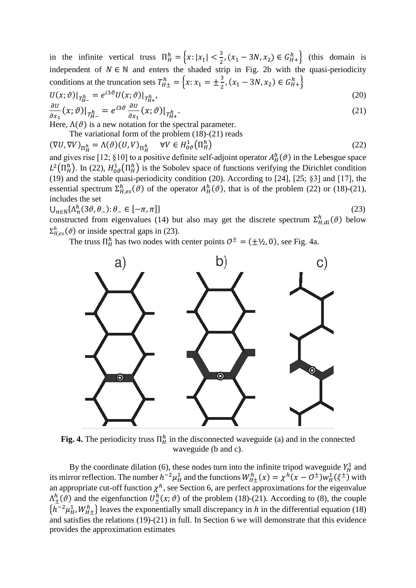in the infinite vertical truss  $\Pi_H^h = \left\{ x : |x_1| < \frac{3}{2} \right\}$  $\frac{3}{2}$ ,  $(x_1 - 3N, x_2) \in G_{H+}^{h}$  (this domain is independent of  $N \in \mathbb{N}$  and enters the shaded strip in Fig. 2b with the quasi-periodicity conditions at the truncation sets  $T_{H\pm}^h = \left\{x : x_1 = \pm \frac{3}{2}\right\}$  $\frac{3}{2}$ ,  $(x_1 - 3N, x_2) \in G_{H+}^h$ 

$$
U(x; \vartheta)|_{T_{H-}^h} = e^{i3\vartheta} U(x; \vartheta)|_{T_{H+}^h},
$$
  
\n
$$
\frac{\partial U}{\partial x_1}(x; \vartheta)|_{T_{H-}^h} = e^{i3\vartheta} \frac{\partial U}{\partial x_1}(x; \vartheta)|_{T_{H+}^h}.
$$
\n(20)

Here,  $\Lambda(\vartheta)$  is a new notation for the spectral parameter.

The variational form of the problem (18)-(21) reads

 $(\nabla U, \nabla V)_{\Pi_H^h} = \Lambda(\vartheta)(U, V)_{\Pi_H^h} \quad \forall V \in H_{0\vartheta}^1(\Pi_H^h)$ )  $(22)$ 

and gives rise [12; §10] to a positive definite self-adjoint operator  $A_H^h(\theta)$  in the Lebesgue space  $L^2(\Pi_H^h)$ . In (22),  $H^1_{0\vartheta}(\Pi_H^h)$  is the Sobolev space of functions verifying the Dirichlet condition (19) and the stable quasi-periodicity condition (20). According to [24], [25; §3] and [17], the essential spectrum  $\Sigma_{H,es}^h(\vartheta)$  of the operator  $A_H^h(\vartheta)$ , that is of the problem (22) or (18)-(21), includes the set

 $\bigcup_{n\in\mathbb{N}}\{\Lambda_n^h(3\vartheta,\theta_-):\theta_-\in[-\pi,\pi]\}\$  (23)

constructed from eigenvalues (14) but also may get the discrete spectrum  $\Sigma_{H,di}^{h}(\vartheta)$  below  $\Sigma_{H,es}^h(\vartheta)$  or inside spectral gaps in (23).

The truss  $\Pi_H^h$  has two nodes with center points  $\mathcal{O}^{\pm} = (\pm \frac{1}{2}, 0)$ , see Fig. 4a.



**Fig. 4.** The periodicity truss  $\Pi_H^h$  in the disconnected waveguide (a) and in the connected waveguide (b and c).

By the coordinate dilation (6), these nodes turn into the infinite tripod waveguide  $Y_H^1$  and its mirror reflection. The number  $h^{-2}\mu_H^1$  and the functions  $W_{H\pm}^h(x) = \chi^h(x - \mathcal{O}^{\pm})w_H^1(\xi^{\pm})$  with an appropriate cut-off function  $\chi^h$ , see Section 6, are perfect approximations for the eigenvalue  $\Lambda^h_{\pm}(\vartheta)$  and the eigenfunction  $U^h_{\pm}(x;\vartheta)$  of the problem (18)-(21). According to (8), the couple  $\{h^{-2}\mu_H^1, W_{H\pm}^h\}$  leaves the exponentially small discrepancy in h in the differential equation (18) and satisfies the relations (19)-(21) in full. In Section 6 we will demonstrate that this evidence provides the approximation estimates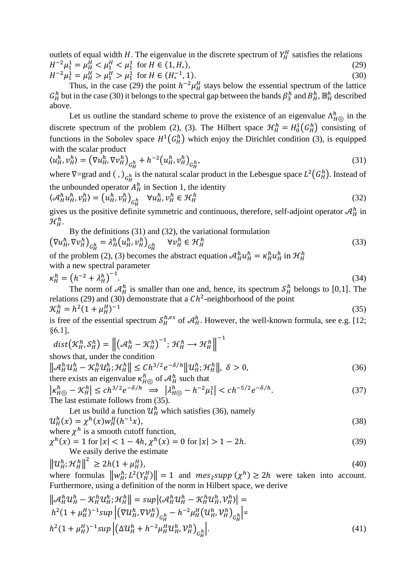outlets of equal width H. The eigenvalue in the discrete spectrum of  $Y_H^H$  satisfies the relations  $H^{-2}\mu_1^1 = \mu_H^H < \mu_1^H < \mu_1^1$  for  $H \in (1, H_*$  $),$  (29)  $H^{-2}\mu_1^1 = \mu_H^H > \mu_1^H > \mu_1^1$  for  $H \in (H_*^{-1})$  $, 1).$  (30)

Thus, in the case (29) the point  $h^{-2}\mu_H^H$  stays below the essential spectrum of the lattice  $G_H^h$  but in the case (30) it belongs to the spectral gap between the bands  $\beta_3^h$  and  $B_H^h$ ,  $\mathbb{B}_H^h$  described above.

Let us outline the standard scheme to prove the existence of an eigenvalue  $\Lambda_{H\odot}^{h}$  in the discrete spectrum of the problem (2), (3). The Hilbert space  $\mathcal{H}_H^h = H_0^1(G_H^h)$  consisting of functions in the Sobolev space  $H^1(G_H^h)$  which enjoy the Dirichlet condition (3), is equipped with the scalar product

$$
\langle u_H^h, v_H^h \rangle = \left( \nabla u_H^h, \nabla v_H^h \right)_{G_H^h} + h^{-2} \left( u_H^h, v_H^h \right)_{G_H^h},\tag{31}
$$

where  $\nabla = \text{grad}$  and (,)  $_{G_H^h}$  is the natural scalar product in the Lebesgue space  $L^2(G_H^h)$ . Instead of the unbounded operator  $A_H^h$  in Section 1, the identity

$$
\langle \mathcal{A}_H^h u_H^h, v_H^h \rangle = \left( u_H^h, v_H^h \right)_{G_H^h} \quad \forall u_H^h, v_H^h \in \mathcal{H}_H^h \tag{32}
$$

gives us the positive definite symmetric and continuous, therefore, self-adjoint operator  $\mathcal{A}_{H}^{h}$  in  $\mathcal{H}^h_H.$ 

By the definitions (31) and (32), the variational formulation  
\n
$$
\left(\nabla u_H^h, \nabla v_H^h\right)_{G_H^h} = \lambda_H^h \left(u_H^h, v_H^h\right)_{G_H^h} \quad \forall v_H^h \in \mathcal{H}_H^h
$$
\n(33)

of the problem (2), (3) becomes the abstract equation  $\mathcal{A}_H^h u_H^h = \kappa_H^h u_H^h$  in  $\mathcal{H}_H^h$ with a new spectral parameter

$$
\kappa_H^h = \left(h^{-2} + \lambda_H^h\right)^{-1}.\tag{34}
$$

The norm of  $\mathcal{A}_{H}^{h}$  is smaller than one and, hence, its spectrum  $\mathcal{S}_{H}^{h}$  belongs to [0,1]. The relations (29) and (30) demonstrate that a  $Ch^2$ -neighborhood of the point  $\mathcal{K}_H^h = h^2 (1 + \mu_H^H)^{-1}$ (35)

is free of the essential spectrum  $S_H^{h,es}$  of  $\mathcal{A}_H^h$ . However, the well-known formula, see e.g. [12; §6.1],

$$
dist(\mathcal{K}_H^h, \mathcal{S}_H^h) = ||(\mathcal{A}_H^h - \mathcal{K}_H^h)^{-1}; \mathcal{H}_H^h \to \mathcal{H}_H^h||^{-1}
$$
  
shows that, under the condition  

$$
||\mathcal{A}_H^h u_H^h - \mathcal{K}_H^h u_H^h; \mathcal{H}_H^h|| \le Ch^{3/2} e^{-\delta/h} ||u_H^h; \mathcal{H}_H^h||, \delta > 0,
$$
 (36)

there exists an eigenvalue 
$$
\kappa_{H\odot}^h
$$
 of  $\mathcal{A}_H^h$  such that  
\n $|\kappa_{H\odot}^h - \mathcal{K}_H^h| \le ch^{3/2} e^{-\delta/h} \implies |\lambda_{H\odot}^h - h^{-2} \mu_1^1| < ch^{-5/2} e^{-\delta/h}$ . (37)

The last estimate follows from (35).  
\n
$$
\sum_{i=1}^{n} a_i
$$

Let us build a function 
$$
\mathcal{U}_H^h
$$
 which satisfies (36), namely  
\n
$$
\mathcal{U}_H^h(x) = \chi^h(x) w_H^H(h^{-1}x),
$$
\n(38)

where 
$$
\chi^h
$$
 is a smooth cutoff function,

$$
\chi^h(x) = 1 \text{ for } |x| < 1 - 4h, \chi^h(x) = 0 \text{ for } |x| > 1 - 2h. \tag{39}
$$
\nWe easily derive the estimate

$$
\left\| \mathcal{U}_H^h; \mathcal{H}_H^h \right\|^2 \ge 2h(1 + \mu_H^H),
$$
\n(40)  
\nwhere formulas 
$$
\left\| w_H^h; L^2(Y_H^H) \right\| = 1
$$
 and 
$$
mes_2 supp(\chi^h) \ge 2h
$$
 were taken into account.

where formulas  $\|w_H^h\|$  $(Y_H^L)$  $\Vert H \Vert = 1$  and  $mes_2 supp \ (\chi)$ Furthermore, using a definition of the norm in Hilbert space, we derive

$$
\left\| \mathcal{A}_{H}^{h} \mathcal{U}_{H}^{h} - \mathcal{K}_{H}^{h} \mathcal{U}_{H}^{h}; \mathcal{H}_{H}^{h} \right\| = \sup \left| \langle \mathcal{A}_{H}^{h} \mathcal{U}_{H}^{h} - \mathcal{K}_{H}^{h} \mathcal{U}_{H}^{h}, \mathcal{V}_{H}^{h} \rangle \right| =
$$
\n
$$
h^{2} (1 + \mu_{H}^{H})^{-1} \sup \left| \left( \nabla \mathcal{U}_{H}^{h}, \nabla \mathcal{V}_{H}^{h} \right)_{G_{H}^{h}} - h^{-2} \mu_{H}^{H} \left( \mathcal{U}_{H}^{h}, \mathcal{V}_{H}^{h} \right)_{G_{H}^{h}} \right| =
$$
\n
$$
h^{2} (1 + \mu_{H}^{H})^{-1} \sup \left| \left( \Delta \mathcal{U}_{H}^{h} + h^{-2} \mu_{H}^{H} \mathcal{U}_{H}^{h}, \mathcal{V}_{H}^{h} \right)_{G_{H}^{h}} \right|.
$$
\n(41)